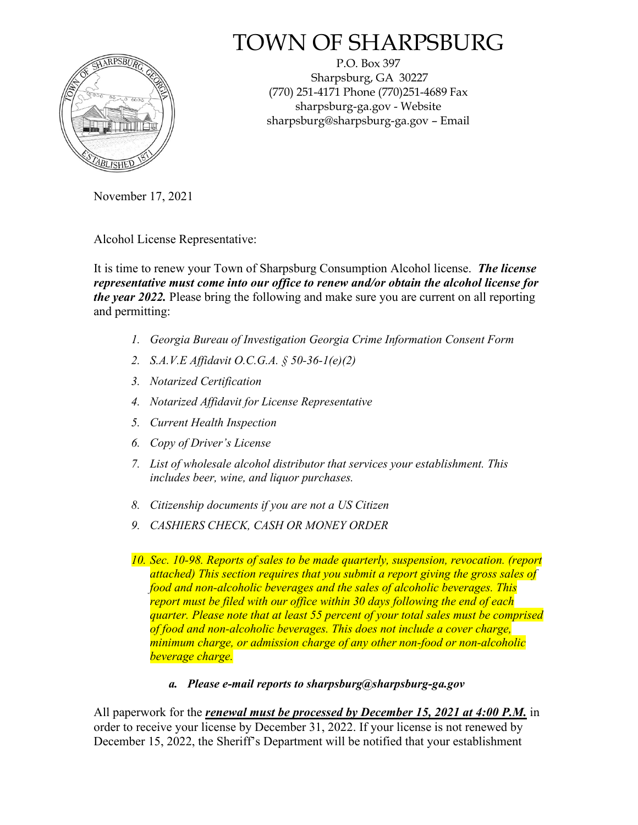

# TOWN OF SHARPSBURG

P.O. Box 397 Sharpsburg, GA 30227 (770) 251-4171 Phone (770)251-4689 Fax sharpsburg-ga.gov - Website sharpsburg@sharpsburg-ga.gov – Email

November 17, 2021

Alcohol License Representative:

It is time to renew your Town of Sharpsburg Consumption Alcohol license. *The license representative must come into our office to renew and/or obtain the alcohol license for the year 2022.* Please bring the following and make sure you are current on all reporting and permitting:

- *1. Georgia Bureau of Investigation Georgia Crime Information Consent Form*
- *2. S.A.V.E Affidavit O.C.G.A. § 50-36-1(e)(2)*
- *3. Notarized Certification*
- *4. Notarized Affidavit for License Representative*
- *5. Current Health Inspection*
- *6. Copy of Driver's License*
- *7. List of wholesale alcohol distributor that services your establishment. This includes beer, wine, and liquor purchases.*
- *8. Citizenship documents if you are not a US Citizen*
- *9. CASHIERS CHECK, CASH OR MONEY ORDER*
- *10. Sec. 10-98. Reports of sales to be made quarterly, suspension, revocation. (report attached) This section requires that you submit a report giving the gross sales of food and non-alcoholic beverages and the sales of alcoholic beverages. This report must be filed with our office within 30 days following the end of each quarter. Please note that at least 55 percent of your total sales must be comprised of food and non-alcoholic beverages. This does not include a cover charge, minimum charge, or admission charge of any other non-food or non-alcoholic beverage charge.* 
	- *a. Please e-mail reports to sharpsburg@sharpsburg-ga.gov*

All paperwork for the *renewal must be processed by December 15, 2021 at 4:00 P.M.* in order to receive your license by December 31, 2022. If your license is not renewed by December 15, 2022, the Sheriff's Department will be notified that your establishment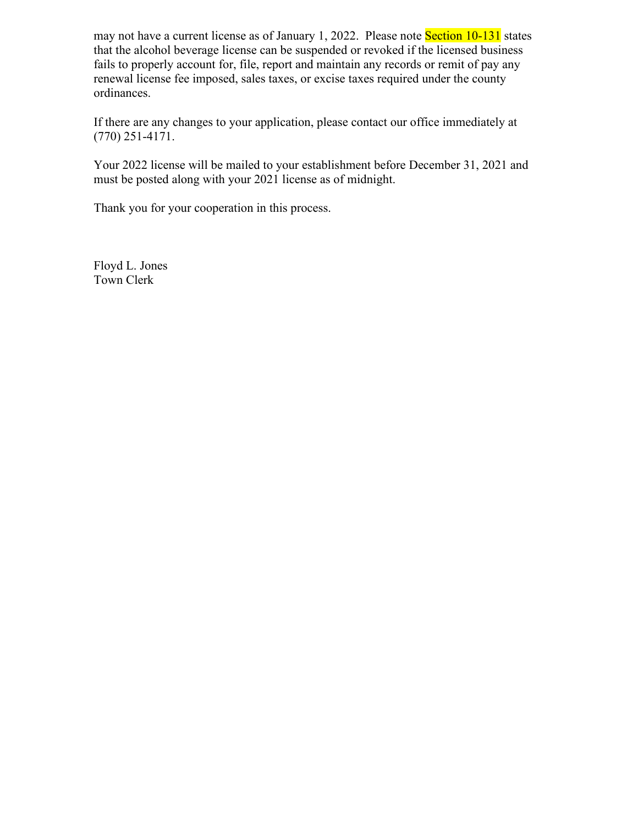may not have a current license as of January 1, 2022. Please note **Section 10-131** states that the alcohol beverage license can be suspended or revoked if the licensed business fails to properly account for, file, report and maintain any records or remit of pay any renewal license fee imposed, sales taxes, or excise taxes required under the county ordinances.

If there are any changes to your application, please contact our office immediately at (770) 251-4171.

Your 2022 license will be mailed to your establishment before December 31, 2021 and must be posted along with your 2021 license as of midnight.

Thank you for your cooperation in this process.

Floyd L. Jones Town Clerk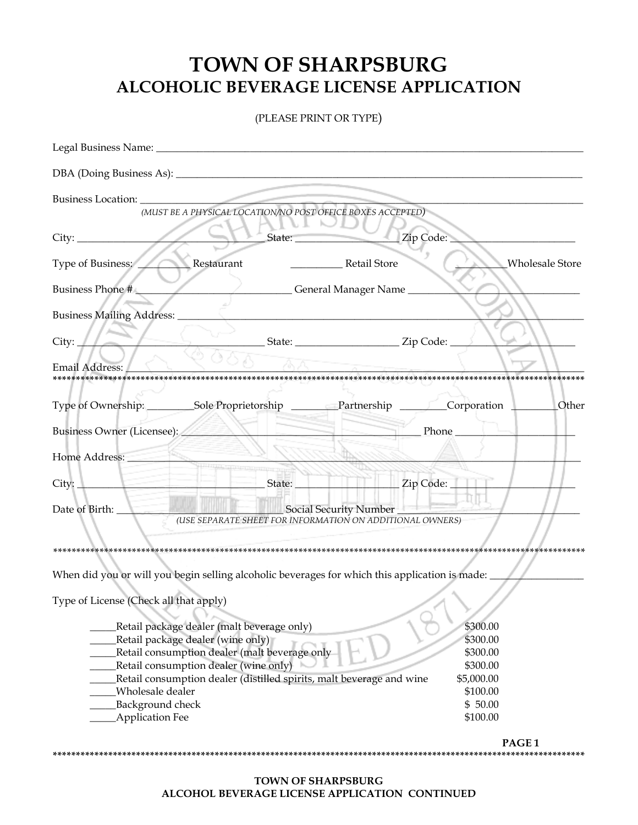## **TOWN OF SHARPSBURG ALCOHOLIC BEVERAGE LICENSE APPLICATION**

(PLEASE PRINT OR TYPE)

| Legal Business Name: 2008 and 2008 and 2008 and 2008 and 2008 and 2008 and 2008 and 2008 and 2008 and 2008 and 2008 and 2008 and 2008 and 2008 and 2008 and 2008 and 2008 and 2008 and 2008 and 2008 and 2008 and 2008 and 200 |                             |
|--------------------------------------------------------------------------------------------------------------------------------------------------------------------------------------------------------------------------------|-----------------------------|
|                                                                                                                                                                                                                                |                             |
| (MUST BE A PHYSICAL LOCATION/NO POST OFFICE BOXES ACCEPTED)                                                                                                                                                                    |                             |
| $\frac{1}{1}$ State:<br>Zip Code:                                                                                                                                                                                              |                             |
| Type of Business: Restaurant<br>Retail Store                                                                                                                                                                                   | Wholesale Store             |
| Ceneral Manager Name<br>Business Phone #                                                                                                                                                                                       |                             |
| Business Mailing Address: _________                                                                                                                                                                                            |                             |
| City:                                                                                                                                                                                                                          |                             |
| Email Address:                                                                                                                                                                                                                 |                             |
| Type of Ownership: __________Sole Proprietorship ___________Partnership __________Corporation __________Other<br>Business Owner (Licensee):                                                                                    | $\sqrt{p}$ Phone $\sqrt{p}$ |
| Home Address:                                                                                                                                                                                                                  |                             |
|                                                                                                                                                                                                                                |                             |
| Date of Birth: Social Security Number<br>(USE SEPARATE SHEET FOR INFORMATION ON ADDITIONAL OWNERS)                                                                                                                             |                             |
|                                                                                                                                                                                                                                |                             |
| When did you or will you begin selling alcoholic beverages for which this application is made: __                                                                                                                              |                             |
| Type of License (Check all that apply)                                                                                                                                                                                         |                             |
| Retail package dealer (malt beverage only)                                                                                                                                                                                     | \$300.00                    |
| Retail package dealer (wine only)                                                                                                                                                                                              | \$300.00<br>\$300.00        |
| Retail consumption dealer (malt beverage only<br>Retail consumption dealer (wine only)                                                                                                                                         | \$300.00                    |
| Retail consumption dealer (distilled spirits, malt beverage and wine                                                                                                                                                           | \$5,000.00                  |
| Wholesale dealer                                                                                                                                                                                                               | \$100.00                    |
| Background check                                                                                                                                                                                                               | \$50.00                     |
| <b>Application Fee</b>                                                                                                                                                                                                         | \$100.00                    |
|                                                                                                                                                                                                                                | PAGE <sub>1</sub>           |

**TOWN OF SHARPSBURG ALCOHOL BEVERAGE LICENSE APPLICATION CONTINUED**

**\*\*\*\*\*\*\*\*\*\*\*\*\*\*\*\*\*\*\*\*\*\*\*\*\*\*\*\*\*\*\*\*\*\*\*\*\*\*\*\*\*\*\*\*\*\*\*\*\*\*\*\*\*\*\*\*\*\*\*\*\*\*\*\*\*\*\*\*\*\*\*\*\*\*\*\*\*\*\*\*\*\*\*\*\*\*\*\*\*\*\*\*\*\*\*\*\*\*\*\*\*\*\*\*\*\*\*\*\*\*\*\*\*\*\***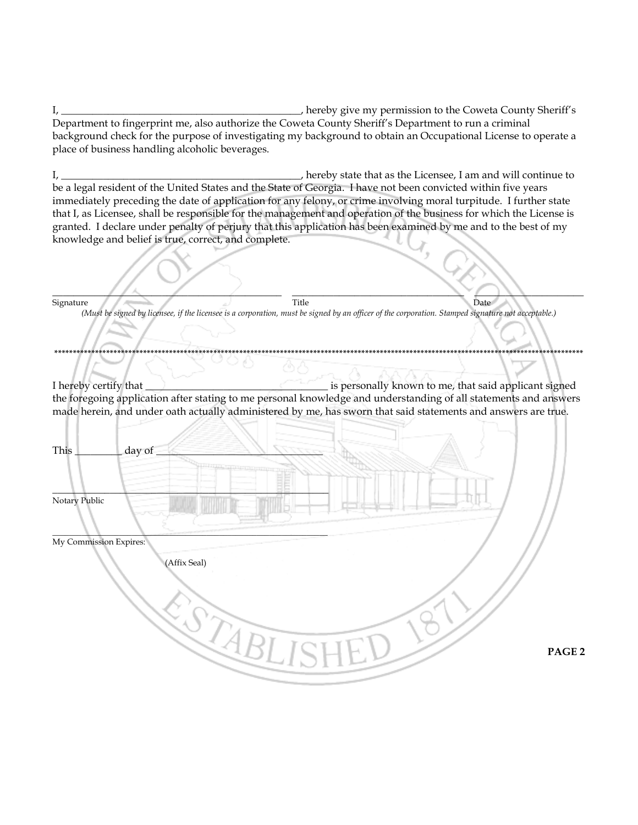hereby give my permission to the Coweta County Sheriff's  $I_{\ell}$ Department to fingerprint me, also authorize the Coweta County Sheriff's Department to run a criminal background check for the purpose of investigating my background to obtain an Occupational License to operate a place of business handling alcoholic beverages.

\_, hereby state that as the Licensee, I am and will continue to  $I_{\ell}$ be a legal resident of the United States and the State of Georgia. I have not been convicted within five years immediately preceding the date of application for any felony, or crime involving moral turpitude. I further state that I, as Licensee, shall be responsible for the management and operation of the business for which the License is granted. I declare under penalty of perjury that this application has been examined by me and to the best of my knowledge and belief is true, correct, and complete.

Signature Title Date (Must be signed by licensee, if the licensee is a corporation, must be signed by an officer of the corporation. Stamped signature not acceptable.) \*\*\*\*\*\*\*\*\*\*\*\*\*\*\*\*\*\*\*\*\*\*\*\*\*\*\*\* is personally known to me, that said applicant signed I hereby certify that the foregoing application after stating to me personal knowledge and understanding of all statements and answers made herein, and under oath actually administered by me, has sworn that said statements and answers are true. This day of Notary Public My Commission Expires: (Affix Seal) SCABLIS PAGE<sub>2</sub>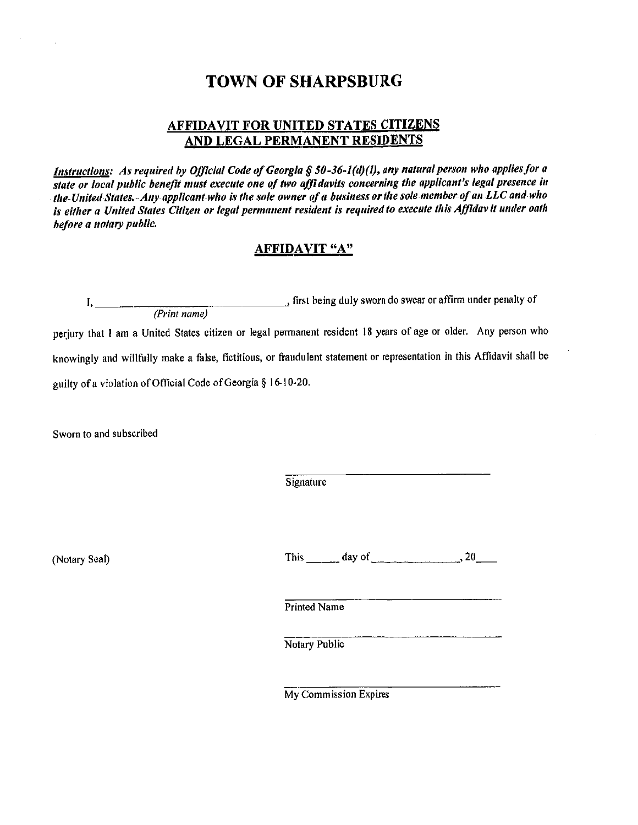### **TOWN OF SHARPSBURG**

#### **AFFIDAVIT FOR UNITED STATES CITIZENS** AND LEGAL PERMANENT RESIDENTS

Instructions: As required by Official Code of Georgia § 50-36-1(d)(l), any natural person who applies for a state or local public benefit must execute one of two affidavits concerning the applicant's legal presence in the United States. Any applicant who is the sole owner of a business or the sole member of an LLC and who is either a United States Citizen or legal permanent resident is required to execute this Affidav it under oath before a notary public.

#### **AFFIDAVIT "A"**

 $\frac{1}{(Print name)}$  first being duly sworn do swear or affirm under penalty of perjury that I am a United States citizen or legal permanent resident 18 years of age or older. Any person who knowingly and willfully make a false, fictitious, or fraudulent statement or representation in this Affidavit shall be guilty of a violation of Official Code of Georgia § 16-10-20.

Sworn to and subscribed

Signature

(Notary Seal)

This  $\frac{1}{\sqrt{2}}$  day of  $\frac{1}{\sqrt{2}}$  20

Printed Name

Notary Public

My Commission Expires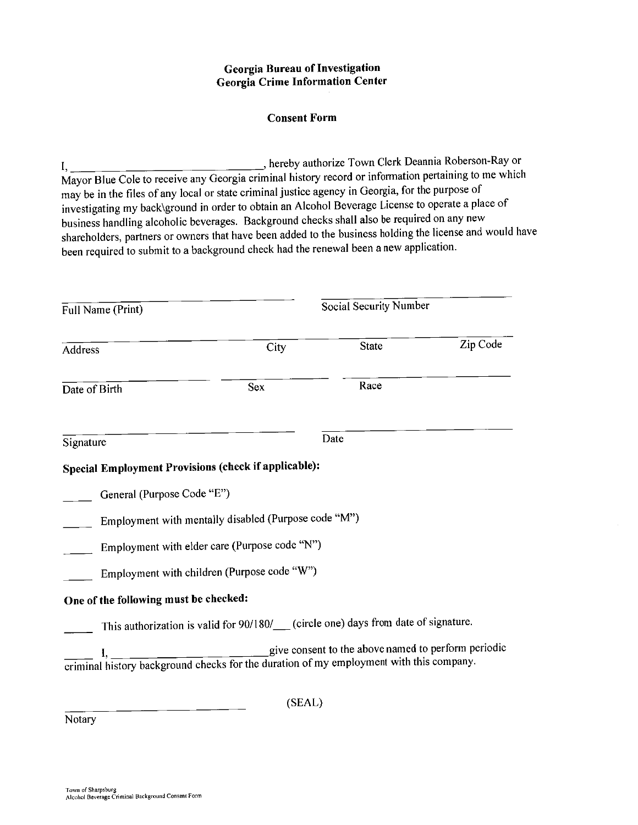#### **Georgia Bureau of Investigation Georgia Crime Information Center**

#### **Consent Form**

hereby authorize Town Clerk Deannia Roberson-Ray or  $I,$ Mayor Blue Cole to receive any Georgia criminal history record or information pertaining to me which may be in the files of any local or state criminal justice agency in Georgia, for the purpose of investigating my back\ground in order to obtain an Alcohol Beverage License to operate a place of business handling alcoholic beverages. Background checks shall also be required on any new shareholders, partners or owners that have been added to the business holding the license and would have been required to submit to a background check had the renewal been a new application.

| Full Name (Print)                     |                                                                                                                                                                                                          | Social Security Number |          |  |
|---------------------------------------|----------------------------------------------------------------------------------------------------------------------------------------------------------------------------------------------------------|------------------------|----------|--|
| Address                               | City                                                                                                                                                                                                     | <b>State</b>           | Zip Code |  |
| Date of Birth                         | <b>Sex</b>                                                                                                                                                                                               | Race                   |          |  |
| Signature                             |                                                                                                                                                                                                          | Date                   |          |  |
|                                       | Special Employment Provisions (check if applicable):                                                                                                                                                     |                        |          |  |
| General (Purpose Code "E")            |                                                                                                                                                                                                          |                        |          |  |
|                                       | Employment with mentally disabled (Purpose code "M")                                                                                                                                                     |                        |          |  |
|                                       | Employment with elder care (Purpose code "N")                                                                                                                                                            |                        |          |  |
|                                       | Employment with children (Purpose code "W")                                                                                                                                                              |                        |          |  |
| One of the following must be checked: |                                                                                                                                                                                                          |                        |          |  |
|                                       | This authorization is valid for 90/180/__ (circle one) days from date of signature.                                                                                                                      |                        |          |  |
|                                       | $\frac{1}{1}$ , $\frac{1}{2}$ , $\frac{1}{2}$ , $\frac{1}{2}$ ive consent to the above named to perform periodic criminal history background checks for the duration of my employment with this company. |                        |          |  |
|                                       | (SEAL)                                                                                                                                                                                                   |                        |          |  |

Notary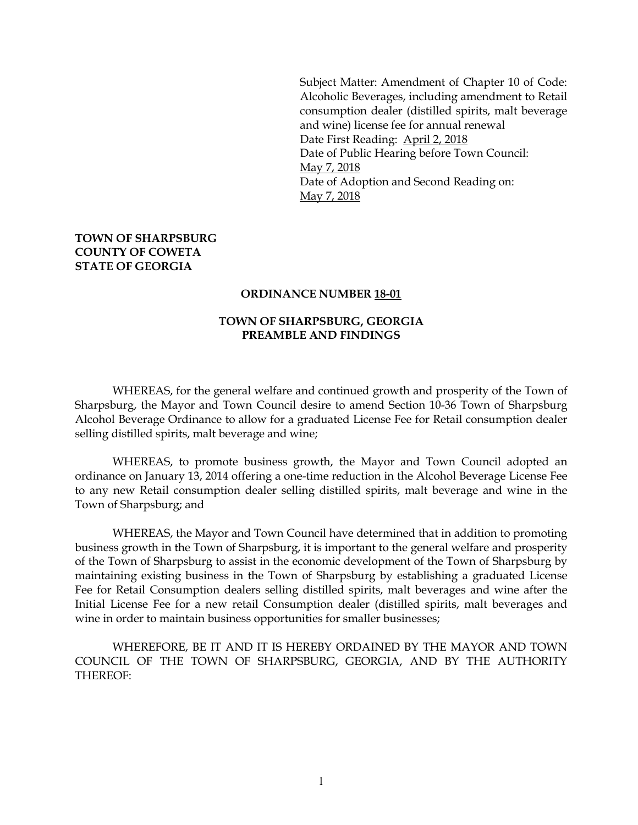Subject Matter: Amendment of Chapter 10 of Code: Alcoholic Beverages, including amendment to Retail consumption dealer (distilled spirits, malt beverage and wine) license fee for annual renewal Date First Reading: April 2, 2018 Date of Public Hearing before Town Council: May 7, 2018 Date of Adoption and Second Reading on: May 7, 2018

#### **TOWN OF SHARPSBURG COUNTY OF COWETA STATE OF GEORGIA**

#### **ORDINANCE NUMBER 18-01**

#### **TOWN OF SHARPSBURG, GEORGIA PREAMBLE AND FINDINGS**

WHEREAS, for the general welfare and continued growth and prosperity of the Town of Sharpsburg, the Mayor and Town Council desire to amend Section 10-36 Town of Sharpsburg Alcohol Beverage Ordinance to allow for a graduated License Fee for Retail consumption dealer selling distilled spirits, malt beverage and wine;

WHEREAS, to promote business growth, the Mayor and Town Council adopted an ordinance on January 13, 2014 offering a one-time reduction in the Alcohol Beverage License Fee to any new Retail consumption dealer selling distilled spirits, malt beverage and wine in the Town of Sharpsburg; and

WHEREAS, the Mayor and Town Council have determined that in addition to promoting business growth in the Town of Sharpsburg, it is important to the general welfare and prosperity of the Town of Sharpsburg to assist in the economic development of the Town of Sharpsburg by maintaining existing business in the Town of Sharpsburg by establishing a graduated License Fee for Retail Consumption dealers selling distilled spirits, malt beverages and wine after the Initial License Fee for a new retail Consumption dealer (distilled spirits, malt beverages and wine in order to maintain business opportunities for smaller businesses;

WHEREFORE, BE IT AND IT IS HEREBY ORDAINED BY THE MAYOR AND TOWN COUNCIL OF THE TOWN OF SHARPSBURG, GEORGIA, AND BY THE AUTHORITY THEREOF: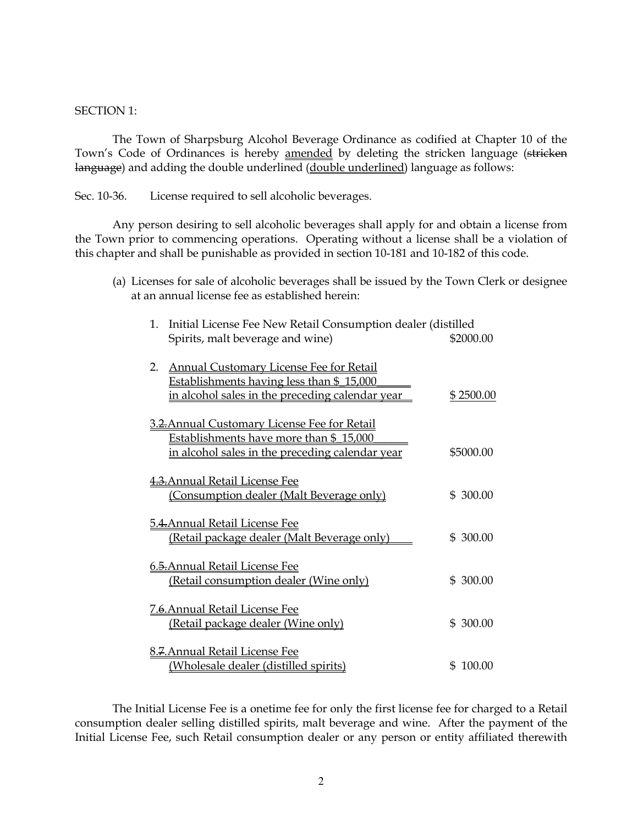#### SECTION 1:

The Town of Sharpsburg Alcohol Beverage Ordinance as codified at Chapter 10 of the Town's Code of Ordinances is hereby amended by deleting the stricken language (stricken language) and adding the double underlined (double underlined) language as follows:

Sec. 10-36. License required to sell alcoholic beverages.

Any person desiring to sell alcoholic beverages shall apply for and obtain a license from the Town prior to commencing operations. Operating without a license shall be a violation of this chapter and shall be punishable as provided in section 10-181 and 10-182 of this code.

(a) Licenses for sale of alcoholic beverages shall be issued by the Town Clerk or designee at an annual license fee as established herein:

| 1. | Initial License Fee New Retail Consumption dealer (distilled |           |  |
|----|--------------------------------------------------------------|-----------|--|
|    | Spirits, malt beverage and wine)                             | \$2000.00 |  |
|    |                                                              |           |  |
|    | 2. Annual Customary License Fee for Retail                   |           |  |
|    | Establishments having less than \$15,000                     |           |  |
|    | in alcohol sales in the preceding calendar year              | \$2500.00 |  |
|    |                                                              |           |  |
|    | 3.2. Annual Customary License Fee for Retail                 |           |  |
|    | Establishments have more than \$_15,000                      |           |  |
|    | <u>in alcohol sales in the preceding calendar year</u>       | \$5000.00 |  |
|    |                                                              |           |  |
|    | 4.3. Annual Retail License Fee                               |           |  |
|    | (Consumption dealer (Malt Beverage only)                     | \$ 300.00 |  |
|    |                                                              |           |  |
|    | <b>5.4. Annual Retail License Fee</b>                        |           |  |
|    | (Retail package dealer (Malt Beverage only)                  | \$ 300.00 |  |
|    |                                                              |           |  |
|    | 6.5. Annual Retail License Fee                               |           |  |
|    | (Retail consumption dealer (Wine only)                       | \$ 300.00 |  |
|    |                                                              |           |  |
|    | 7.6. Annual Retail License Fee                               |           |  |
|    | (Retail package dealer (Wine only)                           | \$ 300.00 |  |
|    |                                                              |           |  |
|    | 8.7. Annual Retail License Fee                               |           |  |
|    | (Wholesale dealer (distilled spirits)                        | \$100.00  |  |

The Initial License Fee is a onetime fee for only the first license fee for charged to a Retail consumption dealer selling distilled spirits, malt beverage and wine. After the payment of the Initial License Fee, such Retail consumption dealer or any person or entity affiliated therewith